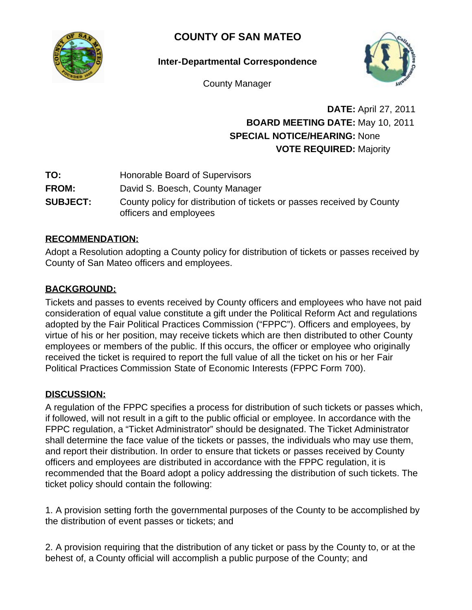

# **COUNTY OF SAN MATEO**

**Inter-Departmental Correspondence**



County Manager

# **DATE:** April 27, 2011 **BOARD MEETING DATE:** May 10, 2011 **SPECIAL NOTICE/HEARING:** None **VOTE REQUIRED:** Majority

- **TO:** Honorable Board of Supervisors
- **FROM:** David S. Boesch, County Manager
- **SUBJECT:** County policy for distribution of tickets or passes received by County officers and employees

## **RECOMMENDATION:**

Adopt a Resolution adopting a County policy for distribution of tickets or passes received by County of San Mateo officers and employees.

# **BACKGROUND:**

Tickets and passes to events received by County officers and employees who have not paid consideration of equal value constitute a gift under the Political Reform Act and regulations adopted by the Fair Political Practices Commission ("FPPC"). Officers and employees, by virtue of his or her position, may receive tickets which are then distributed to other County employees or members of the public. If this occurs, the officer or employee who originally received the ticket is required to report the full value of all the ticket on his or her Fair Political Practices Commission State of Economic Interests (FPPC Form 700).

## **DISCUSSION:**

A regulation of the FPPC specifies a process for distribution of such tickets or passes which, if followed, will not result in a gift to the public official or employee. In accordance with the FPPC regulation, a "Ticket Administrator" should be designated. The Ticket Administrator shall determine the face value of the tickets or passes, the individuals who may use them, and report their distribution. In order to ensure that tickets or passes received by County officers and employees are distributed in accordance with the FPPC regulation, it is recommended that the Board adopt a policy addressing the distribution of such tickets. The ticket policy should contain the following:

1. A provision setting forth the governmental purposes of the County to be accomplished by the distribution of event passes or tickets; and

2. A provision requiring that the distribution of any ticket or pass by the County to, or at the behest of, a County official will accomplish a public purpose of the County; and